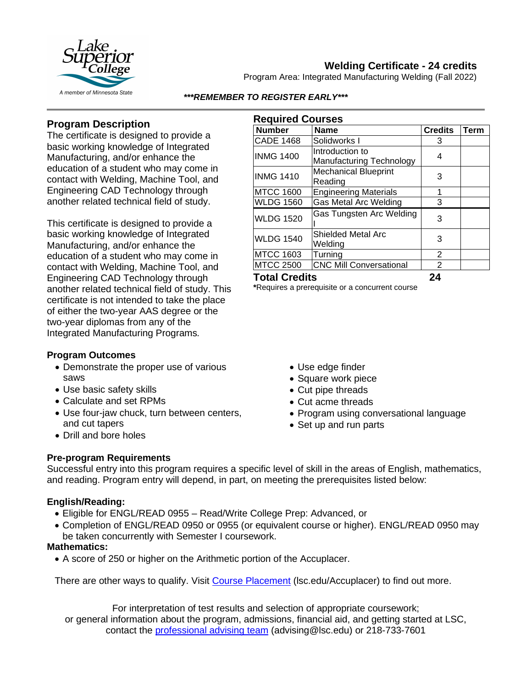

# **Welding Certificate - 24 credits**

Program Area: Integrated Manufacturing Welding (Fall 2022)

#### *\*\*\*REMEMBER TO REGISTER EARLY\*\*\**

## **Program Description**

The certificate is designed to provide a basic working knowledge of Integrated Manufacturing, and/or enhance the education of a student who may come in contact with Welding, Machine Tool, and Engineering CAD Technology through another related technical field of study.

This certificate is designed to provide a basic working knowledge of Integrated Manufacturing, and/or enhance the education of a student who may come in contact with Welding, Machine Tool, and Engineering CAD Technology through another related technical field of study. This certificate is not intended to take the place of either the two-year AAS degree or the two-year diplomas from any of the Integrated Manufacturing Programs*.*

#### **Program Outcomes**

- Demonstrate the proper use of various saws
- Use basic safety skills
- Calculate and set RPMs
- Use four-jaw chuck, turn between centers, and cut tapers
- Drill and bore holes

| <b>Number</b>    | <b>Name</b>                                 | <b>Credits</b> | <b>Term</b> |
|------------------|---------------------------------------------|----------------|-------------|
| <b>CADE 1468</b> | Solidworks I                                | 3              |             |
| <b>INMG 1400</b> | Introduction to<br>Manufacturing Technology | 4              |             |
| <b>INMG 1410</b> | <b>Mechanical Blueprint</b><br>Reading      | 3              |             |
| <b>MTCC 1600</b> | <b>Engineering Materials</b>                |                |             |
| <b>WLDG 1560</b> | <b>Gas Metal Arc Welding</b>                | 3              |             |
| <b>WLDG 1520</b> | Gas Tungsten Arc Welding                    | 3              |             |
| <b>WLDG 1540</b> | <b>Shielded Metal Arc</b><br>Welding        | 3              |             |
| <b>MTCC 1603</b> | Turning                                     | 2              |             |
| <b>MTCC 2500</b> | <b>CNC Mill Conversational</b>              | 2              |             |
| TALAH AYA JIL.   |                                             | ິ              |             |

**Total Credits 24**

**\***Requires a prerequisite or a concurrent course

- Use edge finder
- Square work piece
- Cut pipe threads
- Cut acme threads
- Program using conversational language
- Set up and run parts

## **Pre-program Requirements**

Successful entry into this program requires a specific level of skill in the areas of English, mathematics, and reading. Program entry will depend, in part, on meeting the prerequisites listed below:

## **English/Reading:**

- Eligible for ENGL/READ 0955 Read/Write College Prep: Advanced, or
- Completion of ENGL/READ 0950 or 0955 (or equivalent course or higher). ENGL/READ 0950 may be taken concurrently with Semester I coursework.

## **Mathematics:**

• A score of 250 or higher on the Arithmetic portion of the Accuplacer.

There are other ways to qualify. Visit [Course Placement](https://www.lsc.edu/course-placement/) (lsc.edu/Accuplacer) to find out more.

For interpretation of test results and selection of appropriate coursework; or general information about the program, admissions, financial aid, and getting started at LSC, contact the [professional advising team](mailto:advising@lsc.edu) (advising@lsc.edu) or 218-733-7601